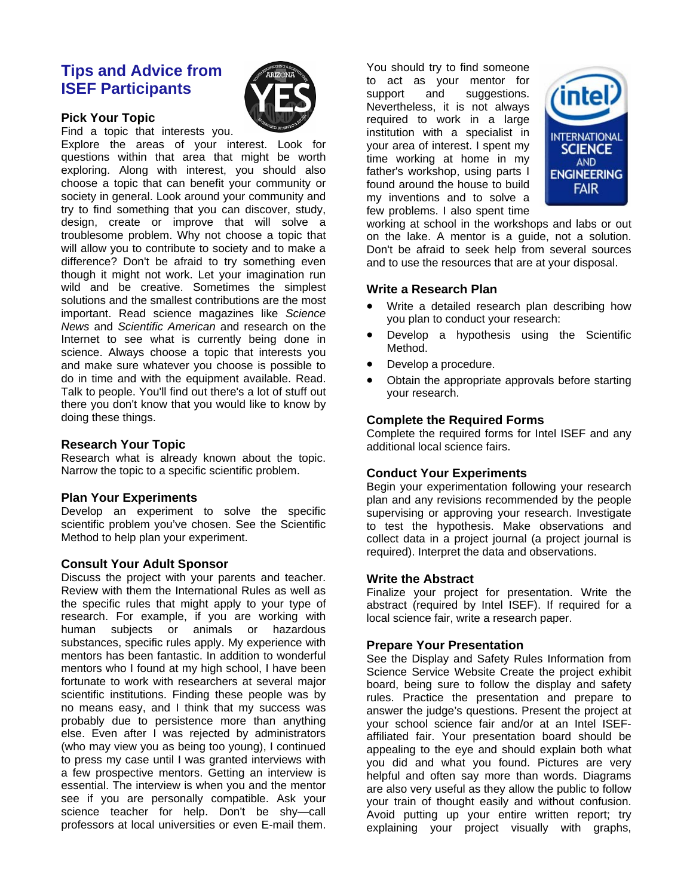# **Tips and Advice from ISEF Participants**

#### **Pick Your Topic**

Find a topic that interests you.

Explore the areas of your interest. Look for questions within that area that might be worth exploring. Along with interest, you should also choose a topic that can benefit your community or society in general. Look around your community and try to find something that you can discover, study, design, create or improve that will solve a troublesome problem. Why not choose a topic that will allow you to contribute to society and to make a difference? Don't be afraid to try something even though it might not work. Let your imagination run wild and be creative. Sometimes the simplest solutions and the smallest contributions are the most important. Read science magazines like *Science News* and *Scientific American* and research on the Internet to see what is currently being done in science. Always choose a topic that interests you and make sure whatever you choose is possible to do in time and with the equipment available. Read. Talk to people. You'll find out there's a lot of stuff out there you don't know that you would like to know by doing these things.

#### **Research Your Topic**

Research what is already known about the topic. Narrow the topic to a specific scientific problem.

# **Plan Your Experiments**

Develop an experiment to solve the specific scientific problem you've chosen. See the Scientific Method to help plan your experiment.

#### **Consult Your Adult Sponsor**

Discuss the project with your parents and teacher. Review with them the International Rules as well as the specific rules that might apply to your type of research. For example, if you are working with human subjects or animals or hazardous substances, specific rules apply. My experience with mentors has been fantastic. In addition to wonderful mentors who I found at my high school, I have been fortunate to work with researchers at several major scientific institutions. Finding these people was by no means easy, and I think that my success was probably due to persistence more than anything else. Even after I was rejected by administrators (who may view you as being too young), I continued to press my case until I was granted interviews with a few prospective mentors. Getting an interview is essential. The interview is when you and the mentor see if you are personally compatible. Ask your science teacher for help. Don't be shy—call professors at local universities or even E-mail them.

You should try to find someone to act as your mentor for support and suggestions. Nevertheless, it is not always required to work in a large institution with a specialist in your area of interest. I spent my time working at home in my father's workshop, using parts I found around the house to build my inventions and to solve a few problems. I also spent time



working at school in the workshops and labs or out on the lake. A mentor is a guide, not a solution. Don't be afraid to seek help from several sources and to use the resources that are at your disposal.

#### **Write a Research Plan**

- Write a detailed research plan describing how you plan to conduct your research:
- Develop a hypothesis using the Scientific Method.
- Develop a procedure.
- Obtain the appropriate approvals before starting your research.

# **Complete the Required Forms**

Complete the required forms for Intel ISEF and any additional local science fairs.

# **Conduct Your Experiments**

Begin your experimentation following your research plan and any revisions recommended by the people supervising or approving your research. Investigate to test the hypothesis. Make observations and collect data in a project journal (a project journal is required). Interpret the data and observations.

# **Write the Abstract**

Finalize your project for presentation. Write the abstract (required by Intel ISEF). If required for a local science fair, write a research paper.

# **Prepare Your Presentation**

See the Display and Safety Rules Information from Science Service Website Create the project exhibit board, being sure to follow the display and safety rules. Practice the presentation and prepare to answer the judge's questions. Present the project at your school science fair and/or at an Intel ISEFaffiliated fair. Your presentation board should be appealing to the eye and should explain both what you did and what you found. Pictures are very helpful and often say more than words. Diagrams are also very useful as they allow the public to follow your train of thought easily and without confusion. Avoid putting up your entire written report; try explaining your project visually with graphs,